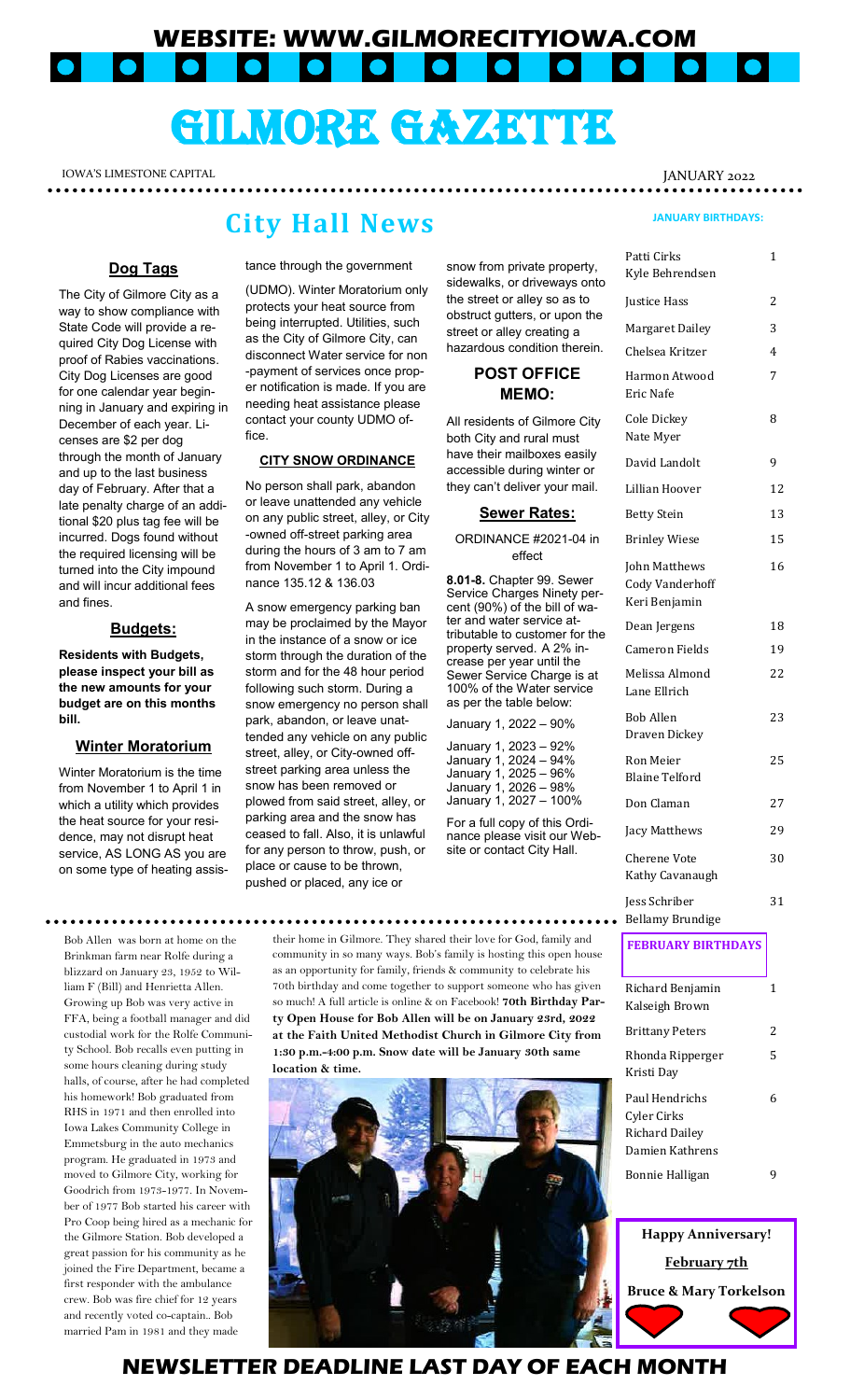**WEBSITE: WWW.GILMORECITYIOWA.COM**  $\bullet$  . . lol  $\bullet$ 

# GILMORE GAZZETTER

IOWA'S LIMESTONE CAPITAL ALL AND THE SERVICE OF STATE SERVICE OF THE SERVICE OF SERVICE OF A LIMIT OF SERVICE O **\*\*\*\*\*\*\*\*\*\*\*\***\*

### **City Hall News**

#### **Dog Tags**

The City of Gilmore City as a way to show compliance with State Code will provide a required City Dog License with proof of Rabies vaccinations. City Dog Licenses are good for one calendar year beginning in January and expiring in December of each year. Licenses are \$2 per dog through the month of January and up to the last business day of February. After that a late penalty charge of an additional \$20 plus tag fee will be incurred. Dogs found without the required licensing will be turned into the City impound and will incur additional fees and fines.

#### **Budgets:**

**Residents with Budgets, please inspect your bill as the new amounts for your budget are on this months bill.** 

#### **Winter Moratorium**

Winter Moratorium is the time from November 1 to April 1 in which a utility which provides the heat source for your residence, may not disrupt heat service, AS LONG AS you are on some type of heating assis-

Bob Allen was born at home on the Brinkman farm near Rolfe during a blizzard on January 23, 1952 to William F (Bill) and Henrietta Allen. Growing up Bob was very active in FFA, being a football manager and did custodial work for the Rolfe Community School. Bob recalls even putting in some hours cleaning during study halls, of course, after he had completed his homework! Bob graduated from RHS in 1971 and then enrolled into Iowa Lakes Community College in Emmetsburg in the auto mechanics program. He graduated in 1973 and moved to Gilmore City, working for Goodrich from 1973-1977. In November of 1977 Bob started his career with Pro Coop being hired as a mechanic for the Gilmore Station. Bob developed a great passion for his community as he joined the Fire Department, became a first responder with the ambulance crew. Bob was fire chief for 12 years and recently voted co-captain.. Bob married Pam in 1981 and they made

tance through the government

(UDMO). Winter Moratorium only protects your heat source from being interrupted. Utilities, such as the City of Gilmore City, can disconnect Water service for non -payment of services once proper notification is made. If you are needing heat assistance please contact your county UDMO office.

#### **CITY SNOW ORDINANCE**

No person shall park, abandon or leave unattended any vehicle on any public street, alley, or City -owned off-street parking area during the hours of 3 am to 7 am from November 1 to April 1. Ordinance 135.12 & 136.03

A snow emergency parking ban may be proclaimed by the Mayor in the instance of a snow or ice storm through the duration of the storm and for the 48 hour period following such storm. During a snow emergency no person shall park, abandon, or leave unattended any vehicle on any public street, alley, or City-owned offstreet parking area unless the snow has been removed or plowed from said street, alley, or parking area and the snow has ceased to fall. Also, it is unlawful for any person to throw, push, or place or cause to be thrown, pushed or placed, any ice or

**location & time.** 

snow from private property, sidewalks, or driveways onto the street or alley so as to obstruct gutters, or upon the street or alley creating a hazardous condition therein.

### **POST OFFICE MEMO:**

All residents of Gilmore City both City and rural must have their mailboxes easily accessible during winter or they can't deliver your mail.

#### **Sewer Rates:**

ORDINANCE #2021-04 in effect

**8.01-8.** Chapter 99. Sewer Service Charges Ninety percent (90%) of the bill of water and water service attributable to customer for the property served. A 2% increase per year until the Sewer Service Charge is at 100% of the Water service as per the table below:

| January 1, 2022 - 90%  |  |
|------------------------|--|
| January 1, 2023 - 92%  |  |
| January 1, 2024 - 94%  |  |
| January 1, 2025 - 96%  |  |
| January 1, 2026 - 98%  |  |
| January 1, 2027 - 100% |  |

For a full copy of this Ordinance please visit our Website or contact City Hall.

**JANUARY BIRTHDAYS:**

| Patti Cirks<br>Kyle Behrendsen                                     | 1  |
|--------------------------------------------------------------------|----|
| Justice Hass                                                       | 2  |
| Margaret Dailey                                                    | 3  |
| Chelsea Kritzer                                                    | 4  |
| Harmon Atwood<br>Eric Nafe                                         | 7  |
| Cole Dickey<br>Nate Myer                                           | 8  |
| David Landolt                                                      | 9  |
| Lillian Hoover                                                     | 12 |
| <b>Betty Stein</b>                                                 | 13 |
| <b>Brinley Wiese</b>                                               | 15 |
| John Matthews<br><b>Cody Vanderhoff</b><br>Keri Benjamin           | 16 |
| Dean Jergens                                                       | 18 |
| Cameron Fields                                                     | 19 |
| Melissa Almond<br>Lane Ellrich                                     | 22 |
| <b>Bob Allen</b><br>Draven Dickey                                  | 23 |
| Ron Meier<br><b>Blaine Telford</b>                                 | 25 |
| Don Claman                                                         | 27 |
| <b>Jacy Matthews</b>                                               | 29 |
| Cherene Vote<br>Kathy Cavanaugh                                    | 30 |
| Jess Schriber<br>Bellamy Brundige                                  | 31 |
| <b>FEBRUARY BIRTHDAYS</b>                                          |    |
| Richard Benjamin<br>Kalseigh Brown                                 | 1  |
| <b>Brittany Peters</b>                                             | 2  |
| Rhonda Ripperger<br>Kristi Day                                     | 5  |
| Paul Hendrichs<br>Cyler Cirks<br>Richard Dailey<br>Damien Kathrens | 6  |
| Bonnie Halligan                                                    | q  |



### **NEWSLETTER DEADLINE LAST DAY OF EACH MONTH**

their home in Gilmore. They shared their love for God, family and community in so many ways. Bob's family is hosting this open house as an opportunity for family, friends & community to celebrate his 70th birthday and come together to support someone who has given so much! A full article is online & on Facebook! **70th Birthday Party Open House for Bob Allen will be on January 23rd, 2022 at the Faith United Methodist Church in Gilmore City from 1:30 p.m.-4:00 p.m. Snow date will be January 30th same**